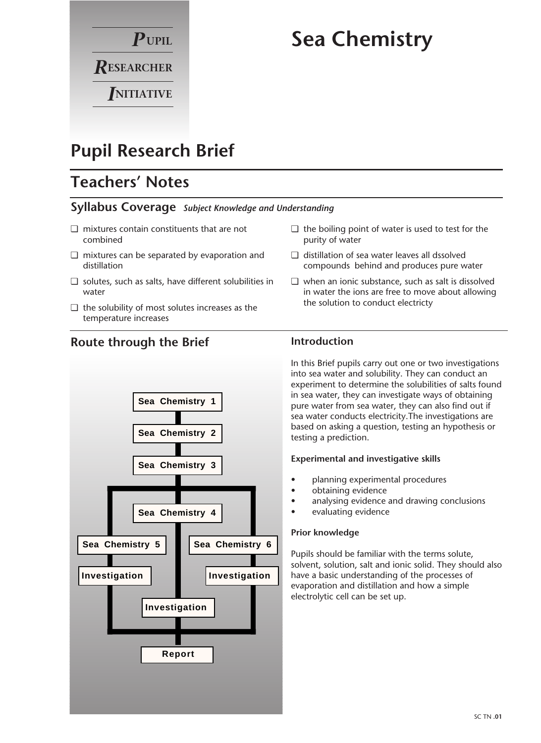

# **Sea Chemistry**

# **Pupil Research Brief**

# **Teachers' Notes**

## **Syllabus Coverage** *Subject Knowledge and Understanding*

- ❏ mixtures contain constituents that are not combined
- ❏ mixtures can be separated by evaporation and distillation
- ❏ solutes, such as salts, have different solubilities in water
- ❏ the solubility of most solutes increases as the temperature increases

**Route through the Brief**

# **Sea Chemistry 2 Sea Chemistry 3 Sea Chemistry 4 Sea Chemistry 5 Sea Chemistry 6 Investigation Investigation Investigation Report Sea Chemistry 1**

#### ❏ the boiling point of water is used to test for the purity of water

- ❏ distillation of sea water leaves all dssolved compounds behind and produces pure water
- ❏ when an ionic substance, such as salt is dissolved in water the ions are free to move about allowing the solution to conduct electricty

## **Introduction**

In this Brief pupils carry out one or two investigations into sea water and solubility. They can conduct an experiment to determine the solubilities of salts found in sea water, they can investigate ways of obtaining pure water from sea water, they can also find out if sea water conducts electricity.The investigations are based on asking a question, testing an hypothesis or testing a prediction.

#### **Experimental and investigative skills**

- planning experimental procedures
- obtaining evidence
- analysing evidence and drawing conclusions
- evaluating evidence

#### **Prior knowledge**

Pupils should be familiar with the terms solute, solvent, solution, salt and ionic solid. They should also have a basic understanding of the processes of evaporation and distillation and how a simple electrolytic cell can be set up.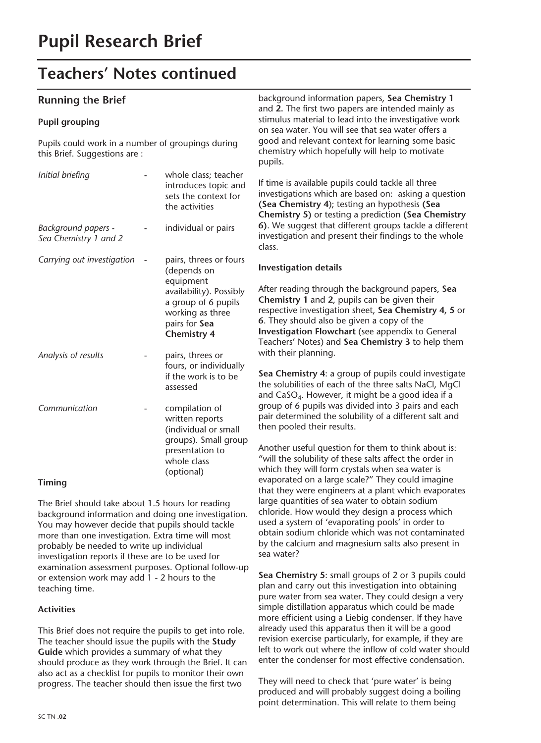# **Teachers' Notes continued**

## **Running the Brief**

#### **Pupil grouping**

Pupils could work in a number of groupings during this Brief. Suggestions are :

| Initial briefing                             | whole class; teacher<br>introduces topic and<br>sets the context for<br>the activities                                                                          |
|----------------------------------------------|-----------------------------------------------------------------------------------------------------------------------------------------------------------------|
| Background papers -<br>Sea Chemistry 1 and 2 | individual or pairs                                                                                                                                             |
| Carrying out investigation                   | pairs, threes or fours<br>(depends on<br>equipment<br>availability). Possibly<br>a group of 6 pupils<br>working as three<br>pairs for Sea<br><b>Chemistry 4</b> |
| Analysis of results                          | pairs, threes or<br>fours, or individually<br>if the work is to be<br>assessed                                                                                  |
| Communication                                | compilation of<br>written reports<br>(individual or small<br>groups). Small group<br>presentation to<br>whole class<br>(optional)                               |

#### **Timing**

The Brief should take about 1.5 hours for reading background information and doing one investigation. You may however decide that pupils should tackle more than one investigation. Extra time will most probably be needed to write up individual investigation reports if these are to be used for examination assessment purposes. Optional follow-up or extension work may add 1 - 2 hours to the teaching time.

#### **Activities**

This Brief does not require the pupils to get into role. The teacher should issue the pupils with the **Study Guide** which provides a summary of what they should produce as they work through the Brief. It can also act as a checklist for pupils to monitor their own progress. The teacher should then issue the first two

background information papers, **Sea Chemistry 1**  and **2.** The first two papers are intended mainly as stimulus material to lead into the investigative work on sea water. You will see that sea water offers a good and relevant context for learning some basic chemistry which hopefully will help to motivate pupils.

If time is available pupils could tackle all three investigations which are based on: asking a question **(Sea Chemistry 4**); testing an hypothesis **(Sea Chemistry 5)** or testing a prediction **(Sea Chemistry 6)**. We suggest that different groups tackle a different investigation and present their findings to the whole class.

#### **Investigation details**

After reading through the background papers, **Sea Chemistry 1** and **2**, pupils can be given their respective investigation sheet, **Sea Chemistry 4, 5** or **6**. They should also be given a copy of the **Investigation Flowchart** (see appendix to General Teachers' Notes) and **Sea Chemistry 3** to help them with their planning.

**Sea Chemistry 4**: a group of pupils could investigate the solubilities of each of the three salts NaCl, MgCl and  $CaSO<sub>4</sub>$ . However, it might be a good idea if a group of 6 pupils was divided into 3 pairs and each pair determined the solubility of a different salt and then pooled their results.

Another useful question for them to think about is: "will the solubility of these salts affect the order in which they will form crystals when sea water is evaporated on a large scale?" They could imagine that they were engineers at a plant which evaporates large quantities of sea water to obtain sodium chloride. How would they design a process which used a system of 'evaporating pools' in order to obtain sodium chloride which was not contaminated by the calcium and magnesium salts also present in sea water?

**Sea Chemistry 5**: small groups of 2 or 3 pupils could plan and carry out this investigation into obtaining pure water from sea water. They could design a very simple distillation apparatus which could be made more efficient using a Liebig condenser. If they have already used this apparatus then it will be a good revision exercise particularly, for example, if they are left to work out where the inflow of cold water should enter the condenser for most effective condensation.

They will need to check that 'pure water' is being produced and will probably suggest doing a boiling point determination. This will relate to them being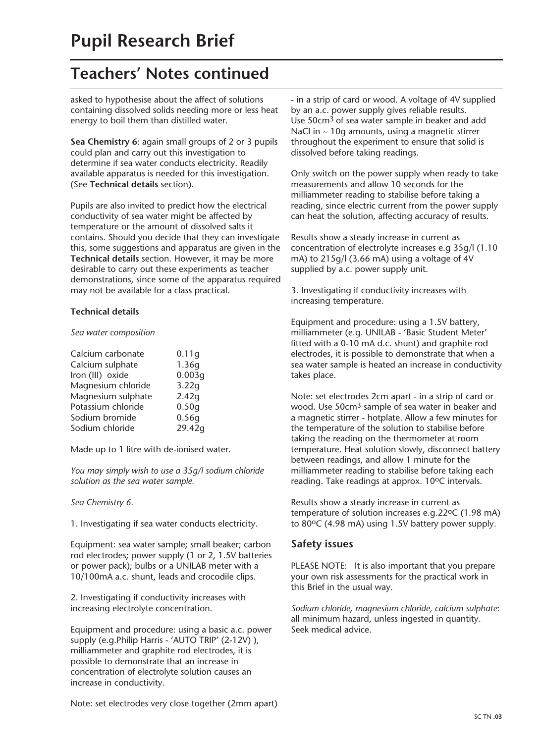# **Teachers' Notes continued**

asked to hypothesise about the affect of solutions containing dissolved solids needing more or less heat energy to boil them than distilled water.

**Sea Chemistry 6**: again small groups of 2 or 3 pupils could plan and carry out this investigation to determine if sea water conducts electricity. Readily available apparatus is needed for this investigation. (See **Technical details** section).

Pupils are also invited to predict how the electrical conductivity of sea water might be affected by temperature or the amount of dissolved salts it contains. Should you decide that they can investigate this, some suggestions and apparatus are given in the **Technical details** section. However, it may be more desirable to carry out these experiments as teacher demonstrations, since some of the apparatus required may not be available for a class practical.

#### **Technical details**

#### *Sea water composition*

| Calcium carbonate  | 0.11q  |
|--------------------|--------|
| Calcium sulphate   | 1.36q  |
| Iron (III) oxide   | 0.003q |
| Magnesium chloride | 3.22g  |
| Magnesium sulphate | 2.42q  |
| Potassium chloride | 0.50q  |
| Sodium bromide     | 0.56q  |
| Sodium chloride    | 29.42q |

Made up to 1 litre with de-ionised water.

*You may simply wish to use a 35g/l sodium chloride solution as the sea water sample.*

*Sea Chemistry 6.*

1. Investigating if sea water conducts electricity.

Equipment: sea water sample; small beaker; carbon rod electrodes; power supply (1 or 2, 1.5V batteries or power pack); bulbs or a UNILAB meter with a 10/100mA a.c. shunt, leads and crocodile clips.

2. Investigating if conductivity increases with increasing electrolyte concentration.

Equipment and procedure: using a basic a.c. power supply (e.g.Philip Harris - 'AUTO TRIP' (2-12V)), milliammeter and graphite rod electrodes, it is possible to demonstrate that an increase in concentration of electrolyte solution causes an increase in conductivity.

- in a strip of card or wood. A voltage of 4V supplied by an a.c. power supply gives reliable results. Use 50cm3 of sea water sample in beaker and add NaCl in ~ 10g amounts, using a magnetic stirrer throughout the experiment to ensure that solid is dissolved before taking readings.

Only switch on the power supply when ready to take measurements and allow 10 seconds for the milliammeter reading to stabilise before taking a reading, since electric current from the power supply can heat the solution, affecting accuracy of results.

Results show a steady increase in current as concentration of electrolyte increases e.g 35g/l (1.10 mA) to 215g/l (3.66 mA) using a voltage of 4V supplied by a.c. power supply unit.

3. Investigating if conductivity increases with increasing temperature.

Equipment and procedure: using a 1.5V battery, milliammeter (e.g. UNILAB - 'Basic Student Meter' fitted with a 0-10 mA d.c. shunt) and graphite rod electrodes, it is possible to demonstrate that when a sea water sample is heated an increase in conductivity takes place.

Note: set electrodes 2cm apart - in a strip of card or wood. Use 50cm3 sample of sea water in beaker and a magnetic stirrer - hotplate. Allow a few minutes for the temperature of the solution to stabilise before taking the reading on the thermometer at room temperature. Heat solution slowly, disconnect battery between readings, and allow 1 minute for the milliammeter reading to stabilise before taking each reading. Take readings at approx. 10°C intervals.

Results show a steady increase in current as temperature of solution increases e.g.22°C (1.98 mA) to 80°C (4.98 mA) using 1.5V battery power supply.

### **Safety issues**

PLEASE NOTE: It is also important that you prepare your own risk assessments for the practical work in this Brief in the usual way.

*Sodium chloride, magnesium chloride, calcium sulphate*: all minimum hazard, unless ingested in quantity. Seek medical advice.

Note: set electrodes very close together (2mm apart)